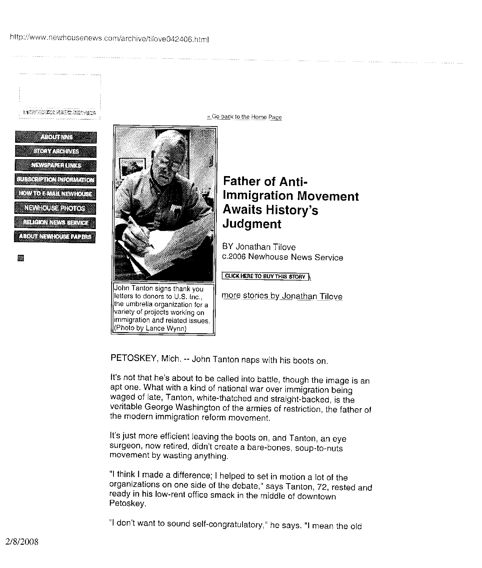HERSEKZYKY XYNIE

|                               | <b>ABOUT THE</b> |  |
|-------------------------------|------------------|--|
| <b>ASTORYARE HIVES</b>        |                  |  |
| <b>NEVSPALENTINKS</b>         |                  |  |
| <b>SUBSCHLOOP IN TELEVIEW</b> |                  |  |
| <b>Longitude Monta</b>        |                  |  |
| NRV OVSEPHOTOS                |                  |  |
| <b>FileSWN34 NEEVA</b>        |                  |  |
| AROLIT NEWHOLSE PAPERS        |                  |  |
|                               |                  |  |

IM

John Tanton signs thank you letters to donors to U.S. Inc., the umbrella organization for a variety of projects working on immigration and related issues. (Photo by Lance Wynn)

**,, Go back to the** Home Page

## **Father of Anti-Immigration Movement Awaits History's Judgment**

BY Jonathan Tilove **c.2006 Newhouse News Service**

**CLICK HERE TO BUY THIS STORY** 

more stories by Jonathan Tilove

PETOSKEY, Mich. -- John Tanton naps with his boots on.

It's not that he's about to be called into battle, though the image is an apt one. What with a kind of national war over immigration being waged of late, Tanton, white-thatched and straight-backed, is the veritable George Washington of the armies of restriction, the father of the modern immigration reform movement.

It's just more efficient leaving the boots on, and Tanton, an eye surgeon, now retired, didn't create a bare-bones, soup-to-nuts movement by wasting anything.

"I think I made a difference; I helped to set in motion a lot of the organizations on one side of the debate," says Tanton, 72, rested and ready in his low-rent office smack in the middle of downtown Petoskey.

"I don't want to sound self-congratulatory," he says. "I mean the old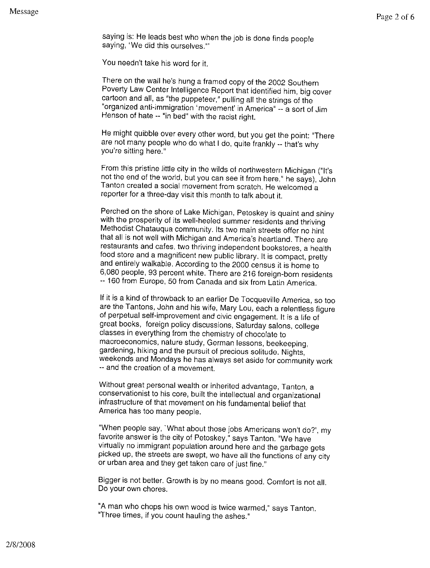saying is: He leads best who when the job is done finds people saying, 'We did this ourselves."'

You needn't take his word for it.

There on the wall he's hung a framed copy of the 2002 Southern Poverty Law Center Intelligence Report that identified him, big cover cartoon and all, as "the puppeteer," pulling all the strings of the "organized anti-immigration 'movement' in America" -- a sort of Jim Henson of hate -- "in bed" with the racist right.

He might quibble over every other word, but you get the point: "There are not many people who do what I do, quite frankly -- that's why you're sitting here."

From this pristine little city in the wilds of northwestern Michigan ("It's not the end of the world, but you can see it from here," he says), John Tanton created a social movement from scratch. He welcomed a reporter for a three-day visit this month to talk about it.

Perched on the shore of Lake Michigan, Petoskey is quaint and shiny with the prosperity of its well-heeled summer residents and thriving Methodist Chatauqua community. Its two main streets offer no hint that all is not well with Michigan and America's heartland. There are restaurants and cafes, two thriving independent bookstores, a health food store and a magnificent new public library. It is compact, pretty and entirely walkable. According to the 2000 census it is home to 6,080 people, 93 percent white. There are 216 foreign-born residents -- 160 from Europe, 50 from Canada and six from Latin America.

If it is a kind of throwback to an earlier De Tocqueville America, so too are the Tantons, John and his wife, Mary Lou, each a relentless figure of perpetual self-improvement and civic engagement. It is a life of great books, foreign policy discussions, Saturday salons, college classes in everything from the chemistry of chocolate to macroeconomics, nature study, German lessons, beekeeping, gardening, hiking and the pursuit of precious solitude. Nights, weekends and Mondays he has always set aside for community work -- and the creation of a movement.

Without great personal wealth or inherited advantage, Tanton, a conservationist to his core, built the intellectual and organizational infrastructure of that movement on his fundamental belief that America has too many people.

"When people say, 'What about those jobs Americans won't do?', my favorite answer is the city of Petoskey," says Tanton. "We have virtually no immigrant population around here and the garbage gets picked up, the streets are swept, we have all the functions of any city or urban area and they get taken care of just fine."

Bigger is not better. Growth is by no means good. Comfort is not all. Do your own chores.

"A man who chops his own wood is twice warmed," says Tanton. "Three times, if you count hauling the ashes."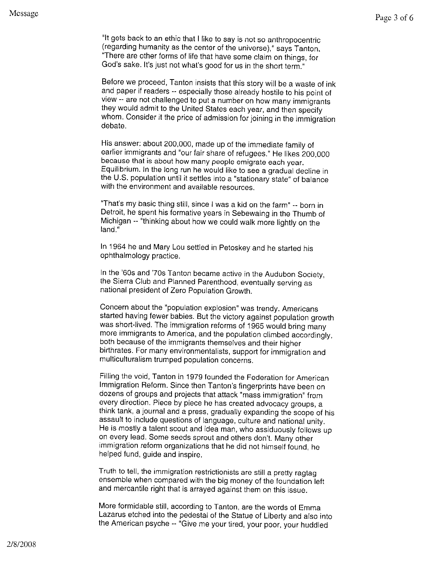"It gets back to an ethic that I like to say is not so anthropocentric (regarding humanity as the center of the universe)," says Tanton. "There are other forms of life that have some claim on things, for God's sake. It's just not what's good for us in the short term."

Before we proceed, Tanton insists that this story will be a waste of ink and paper if readers -- especially those already hostile to his point of view -- are not challenged to put a number on how many immigrants they would admit to the United States each year, and then specify whom. Consider it the price of admission for joining in the immigration debate.

His answer: about 200,000, made up of the immediate family of earlier immigrants and "our fair share of refugees." He likes 200,000 because that is about how many people emigrate each year. Equilibrium. In the long run he would like to see a gradual decline in the U.S. population until it settles into a "stationary state" of balance with the environment and available resources.

"That's my basic thing still, since I was a kid on the farm" -- born in Detroit, he spent his formative years in Sebewaing in the Thumb of Michigan -- "thinking about how we could walk more lightly on the land."

In 1964 he and Mary Lou settled in Petoskey and he started his ophthalmology practice.

In the '60s and 70s Tanton became active in the Audubon Society, the Sierra Club and Planned Parenthood, eventually serving as national president of Zero Population Growth.

Concern about the "population explosion" was trendy. Americans started having fewer babies. But the victory against population growth was short-lived. The immigration reforms of 1965 would bring many more immigrants to America, and the population climbed accordingly, both because of the immigrants themselves and their higher birthrates. For many environmentalists, support for immigration and multiculturalism trumped population concerns.

Filling the void, Tanton in 1979 founded the Federation for American Immigration Reform. Since then Tanton's fingerprints have been on dozens of groups and projects that attack "mass immigration" from every direction. Piece by piece he has created advocacy groups, a think tank, a journal and a press, gradually expanding the scope of his assault to include questions of language, culture and national unity. He is mostly a talent scout and idea man, who assiduously follows up on every lead. Some seeds sprout and others don't. Many other immigration reform organizations that he did not himself found, he helped fund, guide and inspire.

Truth to tell, the immigration restrictionists are still a pretty ragtag ensemble when compared with the big money of the foundation left and mercantile right that is arrayed against them on this issue.

More formidable still, according to Tanton, are the words of Emma Lazarus etched into the pedestal of the Statue of Liberty and also into the American psyche -- "Give me your tired, your poor, your huddled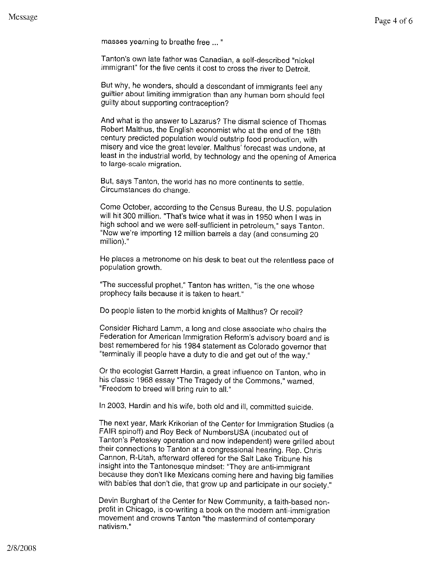masses yearning to breathe free ...

Tanton's own late father was Canadian, a self-described "nickel immigrant" for the five cents it cost to cross the river to Detroit.

But why, he wonders, should a descendant of immigrants feel any guiltier about limiting immigration than any human born should feel guilty about supporting contraception?

And what is the answer to Lazarus? The dismal science of Thomas Robert Malthus, the English economist who at the end of the 18th century predicted population would outstrip food production, with misery and vice the great leveler. Malthus' forecast was undone, at least in the industrial world, by technology and the opening of America to large-scale migration.

But, says Tanton, the world has no more continents to settle. Circumstances do change.

Come October, according to the Census **Bureau** , the U.S. population will hit 300 million. "That's twice what it was in 1950 when I was in high school and we were self-sufficient in petroleum," says Tanton. "Now we're importing 12 million barrels a day (and consuming 20 million)."

He places a metronome on his desk to beat out the relentless pace of population growth.

"The successful prophet," Tanton has written, "is the one whose prophecy fails because it is taken to heart."

Do people listen to the morbid knights of Malthus? Or recoil?

Consider Richard Lamm, a long and close associate who chairs the Federation for American Immigration Reform's advisory board and is best remembered for his 1984 statement as Colorado governor that "terminally ill people have a duty to die and get out of the way."

Or the ecologist Garrett Hardin, a great influence on Tanton, who in his classic 1968 essay "The Tragedy of the Commons," warned, "Freedom to breed will bring ruin to all."

In 2003, Hardin and his wife, both old and ill, committed suicide.

The next year, Mark Krikorian of the Center for Immigration Studies (a FAIR spinoff) and Roy Beck of NumbersUSA (incubated out of Tanton's Petoskey operation and now independent) were grilled about their connections to Tanton at a congressional hearing. Rep. Chris Cannon, R-Utah, afterward offered for the Salt Lake Tribune his insight into the Tantonesque mindset: "They are anti-immigrant because they don't like Mexicans coming here and having big families with babies that don't die, that grow up and participate in our society."

Devin Burghart of the Center for New Community, a faith-based nonprofit in Chicago, is co-writing a book on the modern anti-immigration movement and crowns Tanton "the mastermind of contemporary nativism."